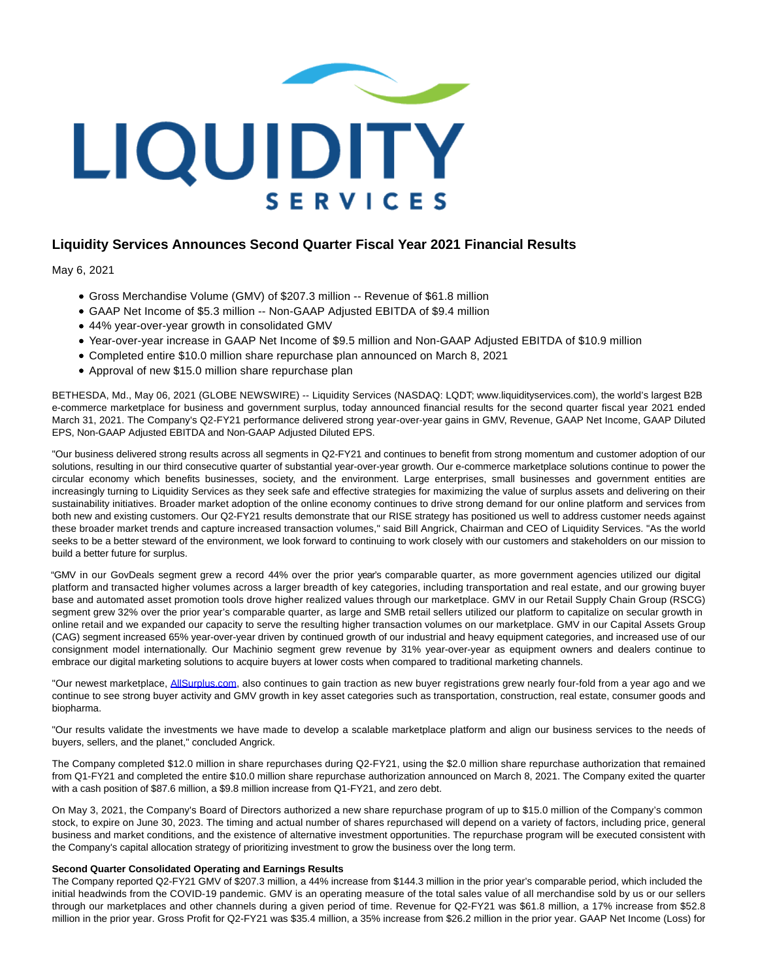

# **Liquidity Services Announces Second Quarter Fiscal Year 2021 Financial Results**

May 6, 2021

- Gross Merchandise Volume (GMV) of \$207.3 million -- Revenue of \$61.8 million
- GAAP Net Income of \$5.3 million -- Non-GAAP Adjusted EBITDA of \$9.4 million
- 44% year-over-year growth in consolidated GMV
- Year-over-year increase in GAAP Net Income of \$9.5 million and Non-GAAP Adjusted EBITDA of \$10.9 million
- Completed entire \$10.0 million share repurchase plan announced on March 8, 2021
- Approval of new \$15.0 million share repurchase plan

BETHESDA, Md., May 06, 2021 (GLOBE NEWSWIRE) -- Liquidity Services (NASDAQ: LQDT; www.liquidityservices.com), the world's largest B2B e-commerce marketplace for business and government surplus, today announced financial results for the second quarter fiscal year 2021 ended March 31, 2021. The Company's Q2-FY21 performance delivered strong year-over-year gains in GMV, Revenue, GAAP Net Income, GAAP Diluted EPS, Non-GAAP Adjusted EBITDA and Non-GAAP Adjusted Diluted EPS.

"Our business delivered strong results across all segments in Q2-FY21 and continues to benefit from strong momentum and customer adoption of our solutions, resulting in our third consecutive quarter of substantial year-over-year growth. Our e-commerce marketplace solutions continue to power the circular economy which benefits businesses, society, and the environment. Large enterprises, small businesses and government entities are increasingly turning to Liquidity Services as they seek safe and effective strategies for maximizing the value of surplus assets and delivering on their sustainability initiatives. Broader market adoption of the online economy continues to drive strong demand for our online platform and services from both new and existing customers. Our Q2-FY21 results demonstrate that our RISE strategy has positioned us well to address customer needs against these broader market trends and capture increased transaction volumes," said Bill Angrick, Chairman and CEO of Liquidity Services. "As the world seeks to be a better steward of the environment, we look forward to continuing to work closely with our customers and stakeholders on our mission to build a better future for surplus.

"GMV in our GovDeals segment grew a record 44% over the prior year's comparable quarter, as more government agencies utilized our digital platform and transacted higher volumes across a larger breadth of key categories, including transportation and real estate, and our growing buyer base and automated asset promotion tools drove higher realized values through our marketplace. GMV in our Retail Supply Chain Group (RSCG) segment grew 32% over the prior year's comparable quarter, as large and SMB retail sellers utilized our platform to capitalize on secular growth in online retail and we expanded our capacity to serve the resulting higher transaction volumes on our marketplace. GMV in our Capital Assets Group (CAG) segment increased 65% year-over-year driven by continued growth of our industrial and heavy equipment categories, and increased use of our consignment model internationally. Our Machinio segment grew revenue by 31% year-over-year as equipment owners and dealers continue to embrace our digital marketing solutions to acquire buyers at lower costs when compared to traditional marketing channels.

"Our newest marketplace, [AllSurplus.com,](https://www.globenewswire.com/Tracker?data=ARohZv_xYW0DNAC8sU5gg8sF_HY8Geabhk4zVngYfAkq5o17hCsWr3nRpgSnGJ7JOsiLaeeThtN2sNHyqlcYcg==) also continues to gain traction as new buyer registrations grew nearly four-fold from a year ago and we continue to see strong buyer activity and GMV growth in key asset categories such as transportation, construction, real estate, consumer goods and biopharma.

"Our results validate the investments we have made to develop a scalable marketplace platform and align our business services to the needs of buyers, sellers, and the planet," concluded Angrick.

The Company completed \$12.0 million in share repurchases during Q2-FY21, using the \$2.0 million share repurchase authorization that remained from Q1-FY21 and completed the entire \$10.0 million share repurchase authorization announced on March 8, 2021. The Company exited the quarter with a cash position of \$87.6 million, a \$9.8 million increase from Q1-FY21, and zero debt.

On May 3, 2021, the Company's Board of Directors authorized a new share repurchase program of up to \$15.0 million of the Company's common stock, to expire on June 30, 2023. The timing and actual number of shares repurchased will depend on a variety of factors, including price, general business and market conditions, and the existence of alternative investment opportunities. The repurchase program will be executed consistent with the Company's capital allocation strategy of prioritizing investment to grow the business over the long term.

#### **Second Quarter Consolidated Operating and Earnings Results**

The Company reported Q2-FY21 GMV of \$207.3 million, a 44% increase from \$144.3 million in the prior year's comparable period, which included the initial headwinds from the COVID-19 pandemic. GMV is an operating measure of the total sales value of all merchandise sold by us or our sellers through our marketplaces and other channels during a given period of time. Revenue for Q2-FY21 was \$61.8 million, a 17% increase from \$52.8 million in the prior year. Gross Profit for Q2-FY21 was \$35.4 million, a 35% increase from \$26.2 million in the prior year. GAAP Net Income (Loss) for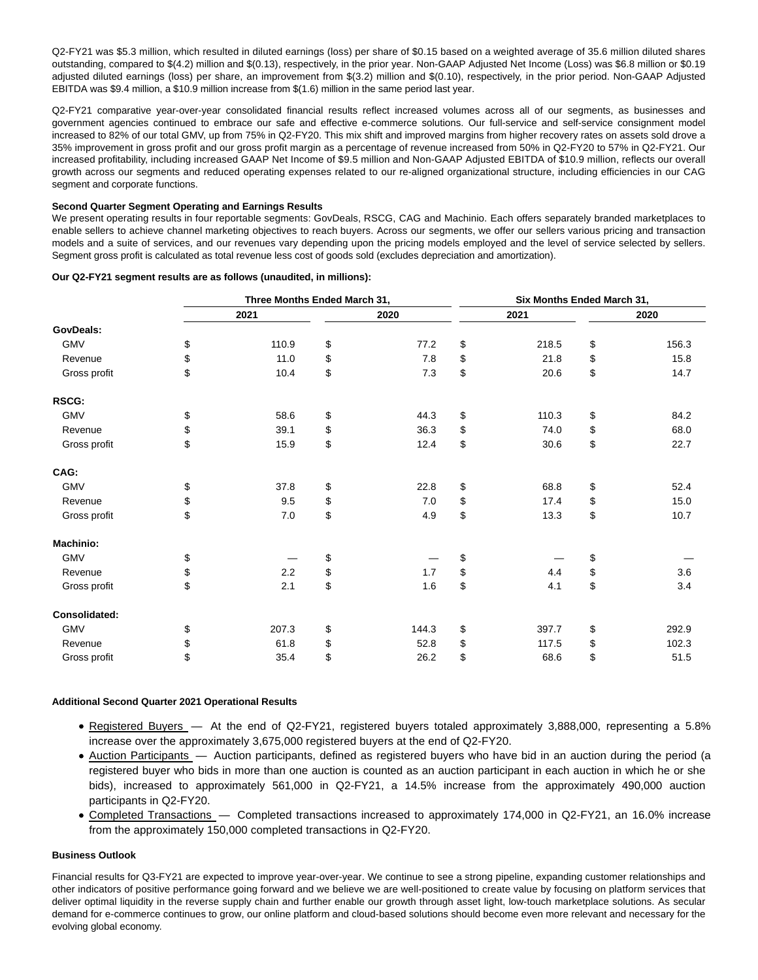Q2-FY21 was \$5.3 million, which resulted in diluted earnings (loss) per share of \$0.15 based on a weighted average of 35.6 million diluted shares outstanding, compared to \$(4.2) million and \$(0.13), respectively, in the prior year. Non-GAAP Adjusted Net Income (Loss) was \$6.8 million or \$0.19 adjusted diluted earnings (loss) per share, an improvement from \$(3.2) million and \$(0.10), respectively, in the prior period. Non-GAAP Adjusted EBITDA was \$9.4 million, a \$10.9 million increase from \$(1.6) million in the same period last year.

Q2-FY21 comparative year-over-year consolidated financial results reflect increased volumes across all of our segments, as businesses and government agencies continued to embrace our safe and effective e-commerce solutions. Our full-service and self-service consignment model increased to 82% of our total GMV, up from 75% in Q2-FY20. This mix shift and improved margins from higher recovery rates on assets sold drove a 35% improvement in gross profit and our gross profit margin as a percentage of revenue increased from 50% in Q2-FY20 to 57% in Q2-FY21. Our increased profitability, including increased GAAP Net Income of \$9.5 million and Non-GAAP Adjusted EBITDA of \$10.9 million, reflects our overall growth across our segments and reduced operating expenses related to our re-aligned organizational structure, including efficiencies in our CAG segment and corporate functions.

## **Second Quarter Segment Operating and Earnings Results**

We present operating results in four reportable segments: GovDeals, RSCG, CAG and Machinio. Each offers separately branded marketplaces to enable sellers to achieve channel marketing objectives to reach buyers. Across our segments, we offer our sellers various pricing and transaction models and a suite of services, and our revenues vary depending upon the pricing models employed and the level of service selected by sellers. Segment gross profit is calculated as total revenue less cost of goods sold (excludes depreciation and amortization).

### **Our Q2-FY21 segment results are as follows (unaudited, in millions):**

|                  | Three Months Ended March 31, |       |    |       |                                           | Six Months Ended March 31, |      |       |  |  |  |
|------------------|------------------------------|-------|----|-------|-------------------------------------------|----------------------------|------|-------|--|--|--|
|                  |                              | 2021  |    | 2020  |                                           | 2021                       | 2020 |       |  |  |  |
| <b>GovDeals:</b> |                              |       |    |       |                                           |                            |      |       |  |  |  |
| <b>GMV</b>       | \$                           | 110.9 | \$ | 77.2  | \$                                        | 218.5                      | \$   | 156.3 |  |  |  |
| Revenue          | \$                           | 11.0  | \$ | 7.8   | \$                                        | 21.8                       | \$   | 15.8  |  |  |  |
| Gross profit     | \$                           | 10.4  | \$ | 7.3   | \$                                        | 20.6                       | \$   | 14.7  |  |  |  |
| <b>RSCG:</b>     |                              |       |    |       |                                           |                            |      |       |  |  |  |
| <b>GMV</b>       | \$                           | 58.6  | \$ | 44.3  | \$                                        | 110.3                      | \$   | 84.2  |  |  |  |
| Revenue          | \$                           | 39.1  | \$ | 36.3  | \$                                        | 74.0                       | \$   | 68.0  |  |  |  |
| Gross profit     | \$                           | 15.9  | \$ | 12.4  | \$                                        | 30.6                       | \$   | 22.7  |  |  |  |
| CAG:             |                              |       |    |       |                                           |                            |      |       |  |  |  |
| <b>GMV</b>       | \$                           | 37.8  | \$ | 22.8  | \$                                        | 68.8                       | \$   | 52.4  |  |  |  |
| Revenue          | \$                           | 9.5   | \$ | 7.0   | \$                                        | 17.4                       | \$   | 15.0  |  |  |  |
| Gross profit     | \$                           | 7.0   | \$ | 4.9   | \$                                        | 13.3                       | \$   | 10.7  |  |  |  |
| <b>Machinio:</b> |                              |       |    |       |                                           |                            |      |       |  |  |  |
| <b>GMV</b>       | \$                           |       | \$ |       | \$                                        |                            | \$   |       |  |  |  |
| Revenue          | \$                           | 2.2   | \$ | 1.7   | $\, \, \raisebox{12pt}{$\scriptstyle \$}$ | 4.4                        | \$   | 3.6   |  |  |  |
| Gross profit     | \$                           | 2.1   | \$ | 1.6   | \$                                        | 4.1                        | \$   | 3.4   |  |  |  |
| Consolidated:    |                              |       |    |       |                                           |                            |      |       |  |  |  |
| <b>GMV</b>       | \$                           | 207.3 | \$ | 144.3 | \$                                        | 397.7                      | \$   | 292.9 |  |  |  |
| Revenue          | \$                           | 61.8  | \$ | 52.8  | \$                                        | 117.5                      | \$   | 102.3 |  |  |  |
| Gross profit     | \$                           | 35.4  | \$ | 26.2  | \$                                        | 68.6                       | \$   | 51.5  |  |  |  |

# **Additional Second Quarter 2021 Operational Results**

- Registered Buyers At the end of Q2-FY21, registered buyers totaled approximately 3,888,000, representing a 5.8% increase over the approximately 3,675,000 registered buyers at the end of Q2-FY20.
- Auction Participants Auction participants, defined as registered buyers who have bid in an auction during the period (a registered buyer who bids in more than one auction is counted as an auction participant in each auction in which he or she bids), increased to approximately 561,000 in Q2-FY21, a 14.5% increase from the approximately 490,000 auction participants in Q2-FY20.
- Completed Transactions Completed transactions increased to approximately 174,000 in Q2-FY21, an 16.0% increase from the approximately 150,000 completed transactions in Q2-FY20.

# **Business Outlook**

Financial results for Q3-FY21 are expected to improve year-over-year. We continue to see a strong pipeline, expanding customer relationships and other indicators of positive performance going forward and we believe we are well-positioned to create value by focusing on platform services that deliver optimal liquidity in the reverse supply chain and further enable our growth through asset light, low-touch marketplace solutions. As secular demand for e-commerce continues to grow, our online platform and cloud-based solutions should become even more relevant and necessary for the evolving global economy.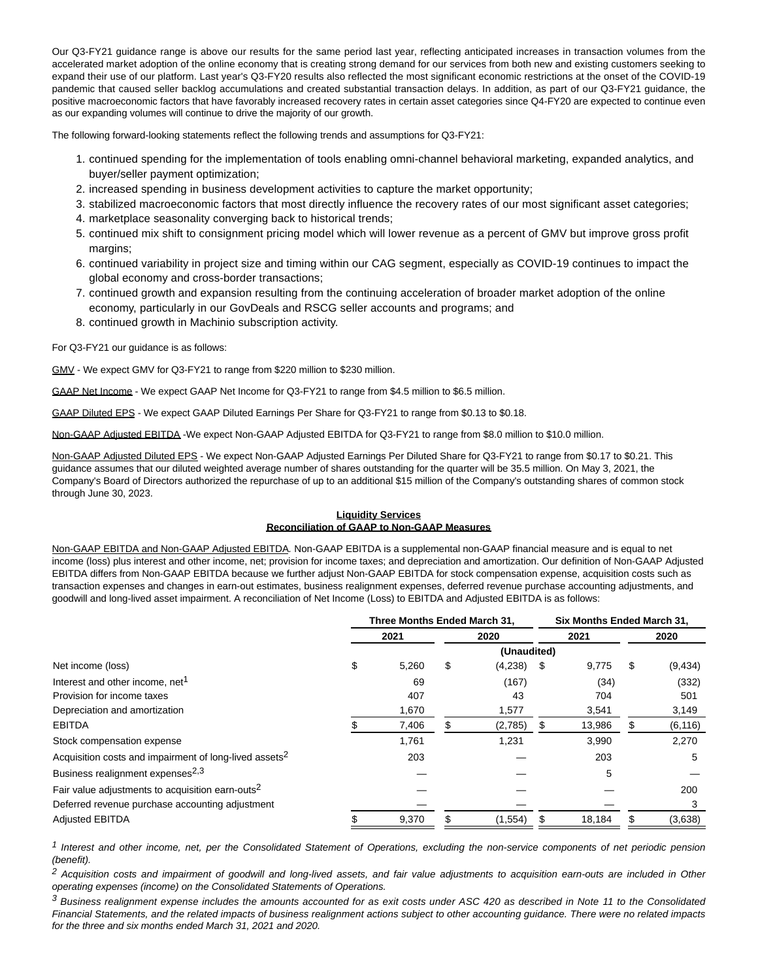Our Q3-FY21 guidance range is above our results for the same period last year, reflecting anticipated increases in transaction volumes from the accelerated market adoption of the online economy that is creating strong demand for our services from both new and existing customers seeking to expand their use of our platform. Last year's Q3-FY20 results also reflected the most significant economic restrictions at the onset of the COVID-19 pandemic that caused seller backlog accumulations and created substantial transaction delays. In addition, as part of our Q3-FY21 guidance, the positive macroeconomic factors that have favorably increased recovery rates in certain asset categories since Q4-FY20 are expected to continue even as our expanding volumes will continue to drive the majority of our growth.

The following forward-looking statements reflect the following trends and assumptions for Q3-FY21:

- 1. continued spending for the implementation of tools enabling omni-channel behavioral marketing, expanded analytics, and buyer/seller payment optimization;
- 2. increased spending in business development activities to capture the market opportunity;
- 3. stabilized macroeconomic factors that most directly influence the recovery rates of our most significant asset categories;
- 4. marketplace seasonality converging back to historical trends;
- 5. continued mix shift to consignment pricing model which will lower revenue as a percent of GMV but improve gross profit margins:
- 6. continued variability in project size and timing within our CAG segment, especially as COVID-19 continues to impact the global economy and cross-border transactions;
- 7. continued growth and expansion resulting from the continuing acceleration of broader market adoption of the online economy, particularly in our GovDeals and RSCG seller accounts and programs; and
- 8. continued growth in Machinio subscription activity.

For Q3-FY21 our guidance is as follows:

GMV - We expect GMV for Q3-FY21 to range from \$220 million to \$230 million.

GAAP Net Income - We expect GAAP Net Income for Q3-FY21 to range from \$4.5 million to \$6.5 million.

GAAP Diluted EPS - We expect GAAP Diluted Earnings Per Share for Q3-FY21 to range from \$0.13 to \$0.18.

Non-GAAP Adjusted EBITDA -We expect Non-GAAP Adjusted EBITDA for Q3-FY21 to range from \$8.0 million to \$10.0 million.

Non-GAAP Adjusted Diluted EPS - We expect Non-GAAP Adjusted Earnings Per Diluted Share for Q3-FY21 to range from \$0.17 to \$0.21. This guidance assumes that our diluted weighted average number of shares outstanding for the quarter will be 35.5 million. On May 3, 2021, the Company's Board of Directors authorized the repurchase of up to an additional \$15 million of the Company's outstanding shares of common stock through June 30, 2023.

# **Liquidity Services Reconciliation of GAAP to Non-GAAP Measures**

Non-GAAP EBITDA and Non-GAAP Adjusted EBITDA. Non-GAAP EBITDA is a supplemental non-GAAP financial measure and is equal to net income (loss) plus interest and other income, net; provision for income taxes; and depreciation and amortization. Our definition of Non-GAAP Adjusted EBITDA differs from Non-GAAP EBITDA because we further adjust Non-GAAP EBITDA for stock compensation expense, acquisition costs such as transaction expenses and changes in earn-out estimates, business realignment expenses, deferred revenue purchase accounting adjustments, and goodwill and long-lived asset impairment. A reconciliation of Net Income (Loss) to EBITDA and Adjusted EBITDA is as follows:

|                                                                    | Three Months Ended March 31, |       |    | Six Months Ended March 31, |      |        |     |          |
|--------------------------------------------------------------------|------------------------------|-------|----|----------------------------|------|--------|-----|----------|
|                                                                    | 2021                         |       |    | 2020                       |      | 2021   |     | 2020     |
|                                                                    |                              |       |    | (Unaudited)                |      |        |     |          |
| Net income (loss)                                                  | \$                           | 5,260 | \$ | (4,238)                    | - \$ | 9,775  | \$  | (9, 434) |
| Interest and other income, net <sup>1</sup>                        |                              | 69    |    | (167)                      |      | (34)   |     | (332)    |
| Provision for income taxes                                         |                              | 407   |    | 43                         |      | 704    |     | 501      |
| Depreciation and amortization                                      |                              | 1,670 |    | 1,577                      |      | 3,541  |     | 3,149    |
| <b>EBITDA</b>                                                      |                              | 7,406 |    | (2,785)                    | \$   | 13,986 | \$. | (6, 116) |
| Stock compensation expense                                         |                              | 1,761 |    | 1,231                      |      | 3,990  |     | 2,270    |
| Acquisition costs and impairment of long-lived assets <sup>2</sup> |                              | 203   |    |                            |      | 203    |     | 5        |
| Business realignment expenses <sup>2,3</sup>                       |                              |       |    |                            |      | 5      |     |          |
| Fair value adjustments to acquisition earn-outs <sup>2</sup>       |                              |       |    |                            |      |        |     | 200      |
| Deferred revenue purchase accounting adjustment                    |                              |       |    |                            |      |        |     | 3        |
| <b>Adjusted EBITDA</b>                                             |                              | 9,370 |    | (1,554)                    | \$   | 18,184 |     | (3,638)  |

 $<sup>1</sup>$  Interest and other income, net, per the Consolidated Statement of Operations, excluding the non-service components of net periodic pension</sup> (benefit).

<sup>2</sup> Acquisition costs and impairment of goodwill and long-lived assets, and fair value adjustments to acquisition earn-outs are included in Other operating expenses (income) on the Consolidated Statements of Operations.

<sup>3</sup> Business realignment expense includes the amounts accounted for as exit costs under ASC 420 as described in Note 11 to the Consolidated Financial Statements, and the related impacts of business realignment actions subject to other accounting guidance. There were no related impacts for the three and six months ended March 31, 2021 and 2020.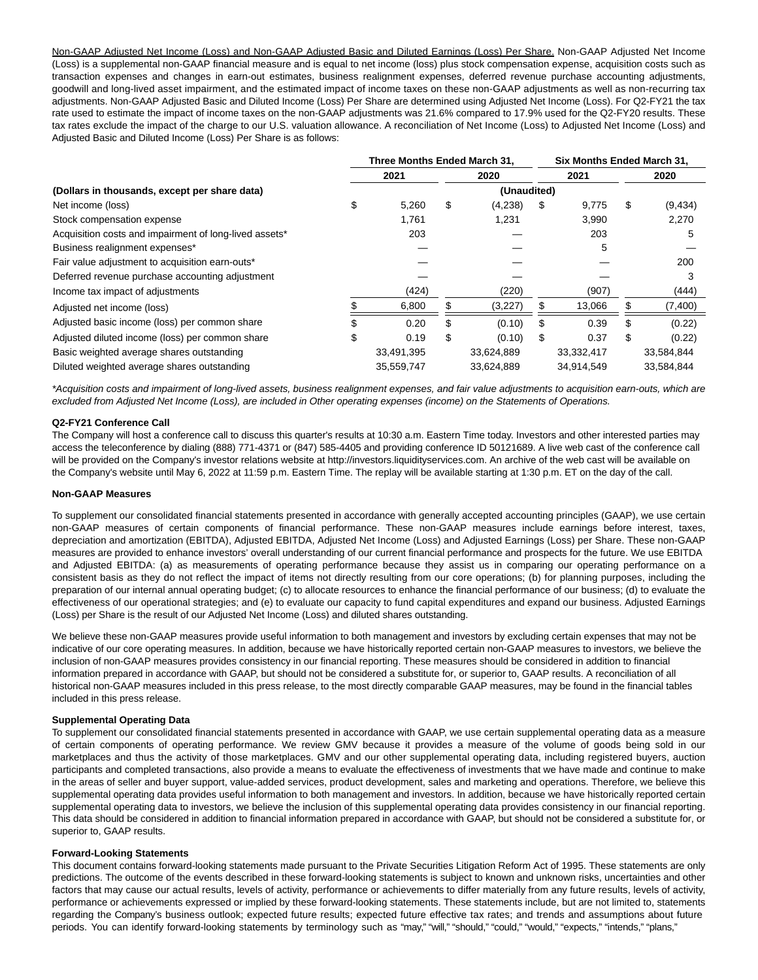Non-GAAP Adjusted Net Income (Loss) and Non-GAAP Adjusted Basic and Diluted Earnings (Loss) Per Share. Non-GAAP Adjusted Net Income (Loss) is a supplemental non-GAAP financial measure and is equal to net income (loss) plus stock compensation expense, acquisition costs such as transaction expenses and changes in earn-out estimates, business realignment expenses, deferred revenue purchase accounting adjustments, goodwill and long-lived asset impairment, and the estimated impact of income taxes on these non-GAAP adjustments as well as non-recurring tax adjustments. Non-GAAP Adjusted Basic and Diluted Income (Loss) Per Share are determined using Adjusted Net Income (Loss). For Q2-FY21 the tax rate used to estimate the impact of income taxes on the non-GAAP adjustments was 21.6% compared to 17.9% used for the Q2-FY20 results. These tax rates exclude the impact of the charge to our U.S. valuation allowance. A reconciliation of Net Income (Loss) to Adjusted Net Income (Loss) and Adjusted Basic and Diluted Income (Loss) Per Share is as follows:

|                                                        | Three Months Ended March 31. |            |    |            | <b>Six Months Ended March 31.</b> |              |    |            |  |
|--------------------------------------------------------|------------------------------|------------|----|------------|-----------------------------------|--------------|----|------------|--|
|                                                        | 2021                         |            |    | 2020       |                                   | 2021         |    | 2020       |  |
| (Dollars in thousands, except per share data)          | (Unaudited)                  |            |    |            |                                   |              |    |            |  |
| Net income (loss)                                      | \$                           | 5,260      | \$ | (4,238)    | \$                                | 9,775        | \$ | (9, 434)   |  |
| Stock compensation expense                             |                              | 1,761      |    | 1.231      |                                   | 3,990        |    | 2,270      |  |
| Acquisition costs and impairment of long-lived assets* |                              | 203        |    |            |                                   | 203          |    | 5          |  |
| Business realignment expenses*                         |                              |            |    |            |                                   | 5            |    |            |  |
| Fair value adjustment to acquisition earn-outs*        |                              |            |    |            |                                   |              |    | 200        |  |
| Deferred revenue purchase accounting adjustment        |                              |            |    |            |                                   |              |    |            |  |
| Income tax impact of adjustments                       |                              | (424)      |    | (220)      |                                   | (907)        |    | (444)      |  |
| Adjusted net income (loss)                             |                              | 6,800      |    | (3,227)    | S                                 | 13,066       |    | (7,400)    |  |
| Adjusted basic income (loss) per common share          |                              | 0.20       | £. | (0.10)     | \$                                | 0.39         | \$ | (0.22)     |  |
| Adjusted diluted income (loss) per common share        | \$                           | 0.19       | S  | (0.10)     | \$                                | 0.37         | \$ | (0.22)     |  |
| Basic weighted average shares outstanding              |                              | 33,491,395 |    | 33,624,889 |                                   | 33, 332, 417 |    | 33,584,844 |  |
| Diluted weighted average shares outstanding            |                              | 35,559,747 |    | 33,624,889 |                                   | 34,914,549   |    | 33,584,844 |  |

\*Acquisition costs and impairment of long-lived assets, business realignment expenses, and fair value adjustments to acquisition earn-outs, which are excluded from Adjusted Net Income (Loss), are included in Other operating expenses (income) on the Statements of Operations.

### **Q2-FY21 Conference Call**

The Company will host a conference call to discuss this quarter's results at 10:30 a.m. Eastern Time today. Investors and other interested parties may access the teleconference by dialing (888) 771-4371 or (847) 585-4405 and providing conference ID 50121689. A live web cast of the conference call will be provided on the Company's investor relations website at http://investors.liquidityservices.com. An archive of the web cast will be available on the Company's website until May 6, 2022 at 11:59 p.m. Eastern Time. The replay will be available starting at 1:30 p.m. ET on the day of the call.

#### **Non-GAAP Measures**

To supplement our consolidated financial statements presented in accordance with generally accepted accounting principles (GAAP), we use certain non-GAAP measures of certain components of financial performance. These non-GAAP measures include earnings before interest, taxes, depreciation and amortization (EBITDA), Adjusted EBITDA, Adjusted Net Income (Loss) and Adjusted Earnings (Loss) per Share. These non-GAAP measures are provided to enhance investors' overall understanding of our current financial performance and prospects for the future. We use EBITDA and Adjusted EBITDA: (a) as measurements of operating performance because they assist us in comparing our operating performance on a consistent basis as they do not reflect the impact of items not directly resulting from our core operations; (b) for planning purposes, including the preparation of our internal annual operating budget; (c) to allocate resources to enhance the financial performance of our business; (d) to evaluate the effectiveness of our operational strategies; and (e) to evaluate our capacity to fund capital expenditures and expand our business. Adjusted Earnings (Loss) per Share is the result of our Adjusted Net Income (Loss) and diluted shares outstanding.

We believe these non-GAAP measures provide useful information to both management and investors by excluding certain expenses that may not be indicative of our core operating measures. In addition, because we have historically reported certain non-GAAP measures to investors, we believe the inclusion of non-GAAP measures provides consistency in our financial reporting. These measures should be considered in addition to financial information prepared in accordance with GAAP, but should not be considered a substitute for, or superior to, GAAP results. A reconciliation of all historical non-GAAP measures included in this press release, to the most directly comparable GAAP measures, may be found in the financial tables included in this press release.

#### **Supplemental Operating Data**

To supplement our consolidated financial statements presented in accordance with GAAP, we use certain supplemental operating data as a measure of certain components of operating performance. We review GMV because it provides a measure of the volume of goods being sold in our marketplaces and thus the activity of those marketplaces. GMV and our other supplemental operating data, including registered buyers, auction participants and completed transactions, also provide a means to evaluate the effectiveness of investments that we have made and continue to make in the areas of seller and buyer support, value-added services, product development, sales and marketing and operations. Therefore, we believe this supplemental operating data provides useful information to both management and investors. In addition, because we have historically reported certain supplemental operating data to investors, we believe the inclusion of this supplemental operating data provides consistency in our financial reporting. This data should be considered in addition to financial information prepared in accordance with GAAP, but should not be considered a substitute for, or superior to, GAAP results.

#### **Forward-Looking Statements**

This document contains forward-looking statements made pursuant to the Private Securities Litigation Reform Act of 1995. These statements are only predictions. The outcome of the events described in these forward-looking statements is subject to known and unknown risks, uncertainties and other factors that may cause our actual results, levels of activity, performance or achievements to differ materially from any future results, levels of activity, performance or achievements expressed or implied by these forward-looking statements. These statements include, but are not limited to, statements regarding the Company's business outlook; expected future results; expected future effective tax rates; and trends and assumptions about future periods. You can identify forward-looking statements by terminology such as "may," "will," "should," "could," "would," "expects," "intends," "plans,"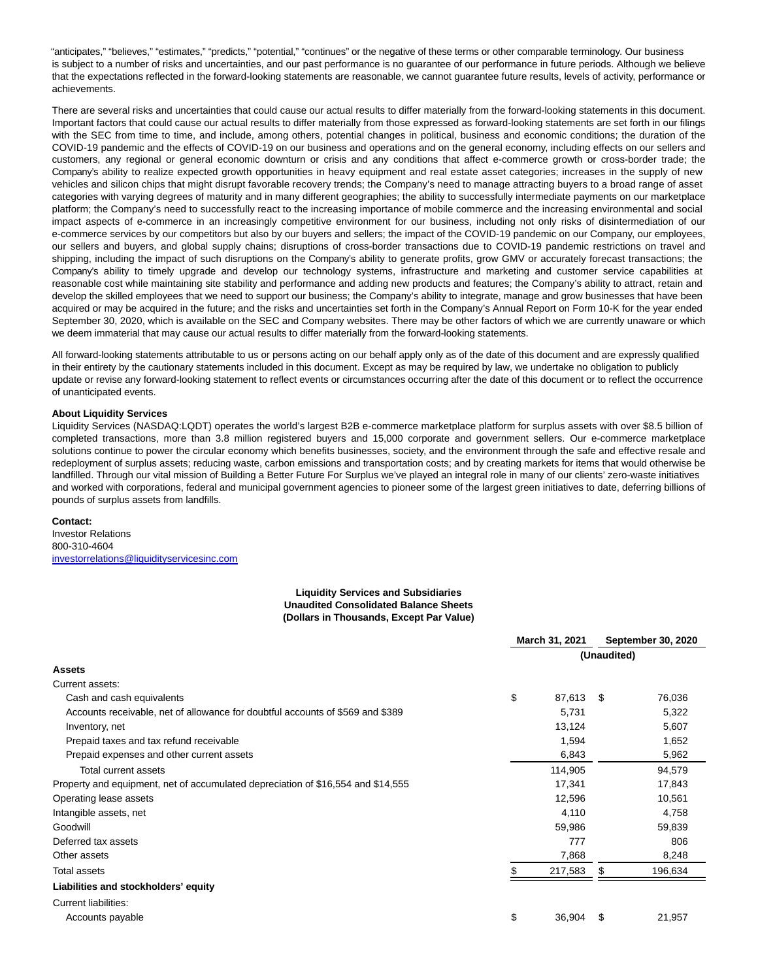"anticipates," "believes," "estimates," "predicts," "potential," "continues" or the negative of these terms or other comparable terminology. Our business is subject to a number of risks and uncertainties, and our past performance is no guarantee of our performance in future periods. Although we believe that the expectations reflected in the forward-looking statements are reasonable, we cannot guarantee future results, levels of activity, performance or achievements.

There are several risks and uncertainties that could cause our actual results to differ materially from the forward-looking statements in this document. Important factors that could cause our actual results to differ materially from those expressed as forward-looking statements are set forth in our filings with the SEC from time to time, and include, among others, potential changes in political, business and economic conditions; the duration of the COVID-19 pandemic and the effects of COVID-19 on our business and operations and on the general economy, including effects on our sellers and customers, any regional or general economic downturn or crisis and any conditions that affect e-commerce growth or cross-border trade; the Company's ability to realize expected growth opportunities in heavy equipment and real estate asset categories; increases in the supply of new vehicles and silicon chips that might disrupt favorable recovery trends; the Company's need to manage attracting buyers to a broad range of asset categories with varying degrees of maturity and in many different geographies; the ability to successfully intermediate payments on our marketplace platform; the Company's need to successfully react to the increasing importance of mobile commerce and the increasing environmental and social impact aspects of e-commerce in an increasingly competitive environment for our business, including not only risks of disintermediation of our e-commerce services by our competitors but also by our buyers and sellers; the impact of the COVID-19 pandemic on our Company, our employees, our sellers and buyers, and global supply chains; disruptions of cross-border transactions due to COVID-19 pandemic restrictions on travel and shipping, including the impact of such disruptions on the Company's ability to generate profits, grow GMV or accurately forecast transactions; the Company's ability to timely upgrade and develop our technology systems, infrastructure and marketing and customer service capabilities at reasonable cost while maintaining site stability and performance and adding new products and features; the Company's ability to attract, retain and develop the skilled employees that we need to support our business; the Company's ability to integrate, manage and grow businesses that have been acquired or may be acquired in the future; and the risks and uncertainties set forth in the Company's Annual Report on Form 10-K for the year ended September 30, 2020, which is available on the SEC and Company websites. There may be other factors of which we are currently unaware or which we deem immaterial that may cause our actual results to differ materially from the forward-looking statements.

All forward-looking statements attributable to us or persons acting on our behalf apply only as of the date of this document and are expressly qualified in their entirety by the cautionary statements included in this document. Except as may be required by law, we undertake no obligation to publicly update or revise any forward-looking statement to reflect events or circumstances occurring after the date of this document or to reflect the occurrence of unanticipated events.

### **About Liquidity Services**

Liquidity Services (NASDAQ:LQDT) operates the world's largest B2B e-commerce marketplace platform for surplus assets with over \$8.5 billion of completed transactions, more than 3.8 million registered buyers and 15,000 corporate and government sellers. Our e-commerce marketplace solutions continue to power the circular economy which benefits businesses, society, and the environment through the safe and effective resale and redeployment of surplus assets; reducing waste, carbon emissions and transportation costs; and by creating markets for items that would otherwise be landfilled. Through our vital mission of Building a Better Future For Surplus we've played an integral role in many of our clients' zero-waste initiatives and worked with corporations, federal and municipal government agencies to pioneer some of the largest green initiatives to date, deferring billions of pounds of surplus assets from landfills.

#### **Contact:**

Investor Relations 800-310-4604 [investorrelations@liquidityservicesinc.com](https://www.globenewswire.com/Tracker?data=bIEFsBCsWodxS1WbMKA0a343aTx6Ay2cWxcPdUjb-xsPSvyHTsNXogd6Av_EyQ1OG76Z2yGeyU9_SI2tKROBA9lZlPo4nFWgRgmE2apfP6mpp3eAPA6f8qqRSBIj0t-AKNy0ZgdaYacnP1ZyLkQXhO2VbZwLmrPKwjHUm2w4xaM=)

> **Liquidity Services and Subsidiaries Unaudited Consolidated Balance Sheets (Dollars in Thousands, Except Par Value)**

|                                                                                  | March 31, 2021 |         | September 30, 2020 |         |  |
|----------------------------------------------------------------------------------|----------------|---------|--------------------|---------|--|
|                                                                                  |                |         | (Unaudited)        |         |  |
| <b>Assets</b>                                                                    |                |         |                    |         |  |
| Current assets:                                                                  |                |         |                    |         |  |
| Cash and cash equivalents                                                        | \$             | 87,613  | - \$               | 76,036  |  |
| Accounts receivable, net of allowance for doubtful accounts of \$569 and \$389   |                | 5,731   |                    | 5,322   |  |
| Inventory, net                                                                   |                | 13,124  |                    | 5,607   |  |
| Prepaid taxes and tax refund receivable                                          |                | 1,594   |                    | 1,652   |  |
| Prepaid expenses and other current assets                                        |                | 6,843   |                    | 5,962   |  |
| Total current assets                                                             |                | 114,905 |                    | 94,579  |  |
| Property and equipment, net of accumulated depreciation of \$16,554 and \$14,555 |                | 17,341  |                    | 17,843  |  |
| Operating lease assets                                                           |                | 12,596  |                    | 10,561  |  |
| Intangible assets, net                                                           |                | 4,110   |                    | 4,758   |  |
| Goodwill                                                                         |                | 59,986  |                    | 59,839  |  |
| Deferred tax assets                                                              |                | 777     |                    | 806     |  |
| Other assets                                                                     |                | 7,868   |                    | 8,248   |  |
| Total assets                                                                     |                | 217,583 |                    | 196,634 |  |
| Liabilities and stockholders' equity                                             |                |         |                    |         |  |
| Current liabilities:                                                             |                |         |                    |         |  |
| Accounts payable                                                                 | \$             | 36,904  | S.                 | 21,957  |  |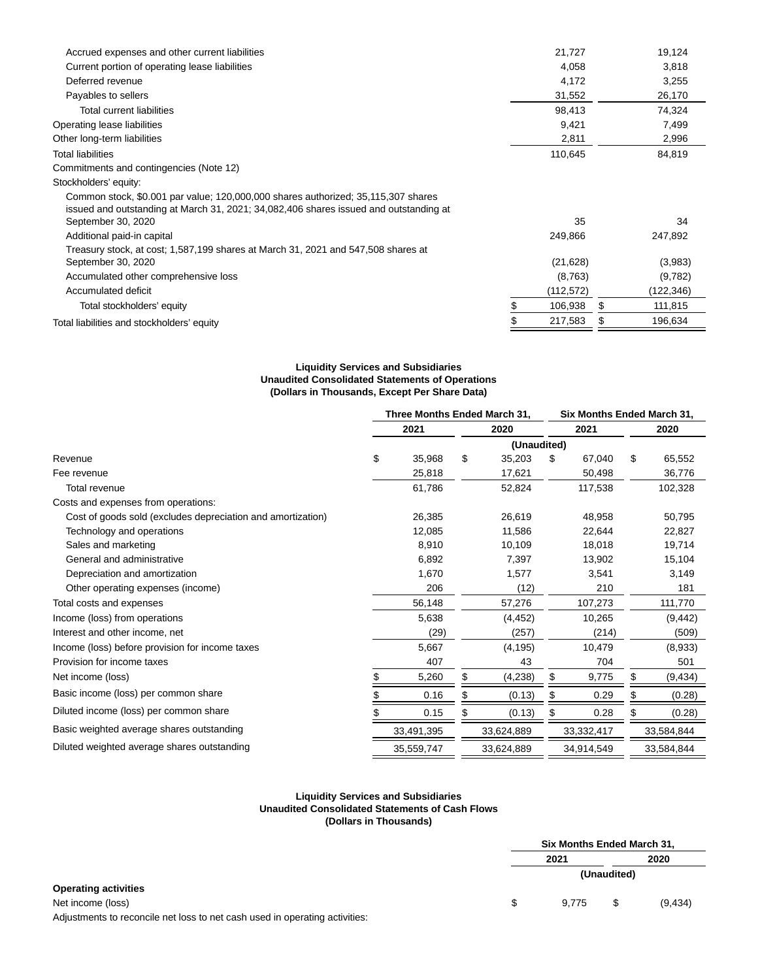| Accrued expenses and other current liabilities                                        | 21,727     | 19,124        |
|---------------------------------------------------------------------------------------|------------|---------------|
| Current portion of operating lease liabilities                                        | 4,058      | 3,818         |
| Deferred revenue                                                                      | 4,172      | 3,255         |
| Payables to sellers                                                                   | 31,552     | 26,170        |
| <b>Total current liabilities</b>                                                      | 98,413     | 74,324        |
| Operating lease liabilities                                                           | 9,421      | 7,499         |
| Other long-term liabilities                                                           | 2,811      | 2,996         |
| <b>Total liabilities</b>                                                              | 110,645    | 84,819        |
| Commitments and contingencies (Note 12)                                               |            |               |
| Stockholders' equity:                                                                 |            |               |
| Common stock, \$0.001 par value; 120,000,000 shares authorized; 35,115,307 shares     |            |               |
| issued and outstanding at March 31, 2021; 34,082,406 shares issued and outstanding at |            |               |
| September 30, 2020                                                                    | 35         | 34            |
| Additional paid-in capital                                                            | 249,866    | 247,892       |
| Treasury stock, at cost; 1,587,199 shares at March 31, 2021 and 547,508 shares at     |            |               |
| September 30, 2020                                                                    | (21, 628)  | (3,983)       |
| Accumulated other comprehensive loss                                                  | (8,763)    | (9,782)       |
| Accumulated deficit                                                                   | (112, 572) | (122,346)     |
| Total stockholders' equity                                                            | 106,938    | \$<br>111,815 |
| Total liabilities and stockholders' equity                                            | 217,583    | 196,634       |
|                                                                                       |            |               |

# **Liquidity Services and Subsidiaries Unaudited Consolidated Statements of Operations (Dollars in Thousands, Except Per Share Data)**

|                                                             | Three Months Ended March 31, |            |            | Six Months Ended March 31, |      |              |    |            |  |
|-------------------------------------------------------------|------------------------------|------------|------------|----------------------------|------|--------------|----|------------|--|
|                                                             |                              | 2021       | 2020       |                            | 2021 |              |    | 2020       |  |
|                                                             |                              |            |            | (Unaudited)                |      |              |    |            |  |
| Revenue                                                     | \$                           | 35,968     | \$         | 35,203                     | \$   | 67.040       | \$ | 65,552     |  |
| Fee revenue                                                 |                              | 25,818     |            | 17,621                     |      | 50,498       |    | 36,776     |  |
| Total revenue                                               |                              | 61,786     |            | 52,824                     |      | 117,538      |    | 102,328    |  |
| Costs and expenses from operations:                         |                              |            |            |                            |      |              |    |            |  |
| Cost of goods sold (excludes depreciation and amortization) |                              | 26,385     |            | 26,619                     |      | 48,958       |    | 50,795     |  |
| Technology and operations                                   |                              | 12,085     |            | 11,586                     |      | 22,644       |    | 22,827     |  |
| Sales and marketing                                         |                              | 8,910      |            | 10,109                     |      | 18,018       |    | 19,714     |  |
| General and administrative                                  |                              | 6,892      |            | 7,397                      |      | 13,902       |    | 15,104     |  |
| Depreciation and amortization                               |                              | 1,670      |            | 1,577                      |      | 3,541        |    | 3,149      |  |
| Other operating expenses (income)                           |                              | 206        |            | (12)                       |      | 210          |    | 181        |  |
| Total costs and expenses                                    |                              | 56,148     |            | 57,276                     |      | 107,273      |    | 111,770    |  |
| Income (loss) from operations                               |                              | 5,638      |            | (4, 452)                   |      | 10,265       |    | (9, 442)   |  |
| Interest and other income, net                              |                              | (29)       |            | (257)                      |      | (214)        |    | (509)      |  |
| Income (loss) before provision for income taxes             |                              | 5,667      |            | (4, 195)                   |      | 10,479       |    | (8,933)    |  |
| Provision for income taxes                                  |                              | 407        |            | 43                         |      | 704          |    | 501        |  |
| Net income (loss)                                           |                              | 5,260      | \$         | (4,238)                    | \$   | 9,775        | \$ | (9, 434)   |  |
| Basic income (loss) per common share                        |                              | 0.16       |            | (0.13)                     | \$   | 0.29         |    | (0.28)     |  |
| Diluted income (loss) per common share                      |                              | 0.15       |            | (0.13)                     | S    | 0.28         |    | (0.28)     |  |
| Basic weighted average shares outstanding                   |                              | 33,491,395 |            | 33,624,889                 |      | 33, 332, 417 |    | 33,584,844 |  |
| Diluted weighted average shares outstanding                 | 35,559,747                   |            | 33,624,889 |                            |      | 34,914,549   |    | 33,584,844 |  |

# **Liquidity Services and Subsidiaries Unaudited Consolidated Statements of Cash Flows (Dollars in Thousands)**

|                                                                             |             | Six Months Ended March 31, |  |          |
|-----------------------------------------------------------------------------|-------------|----------------------------|--|----------|
|                                                                             |             | 2020<br>2021               |  |          |
|                                                                             | (Unaudited) |                            |  |          |
| <b>Operating activities</b>                                                 |             |                            |  |          |
| Net income (loss)                                                           |             | 9.775                      |  | (9, 434) |
| Adjustments to reconcile net loss to net cash used in operating activities: |             |                            |  |          |